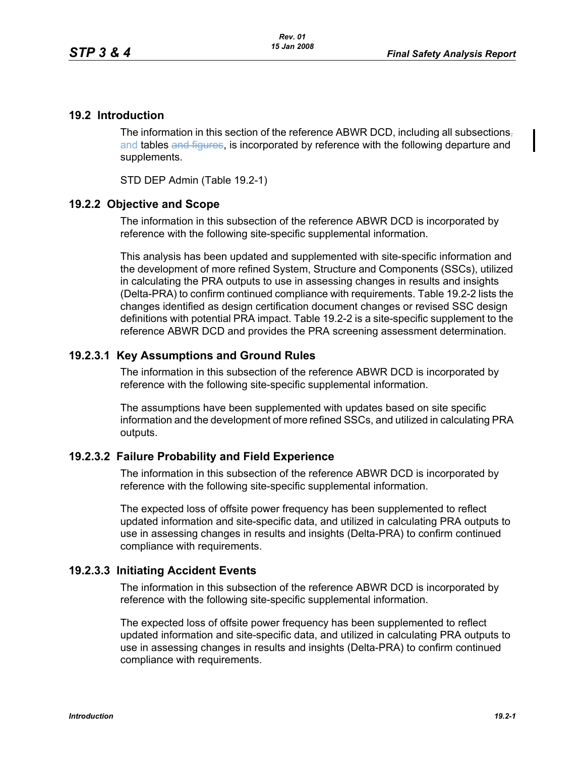## **19.2 Introduction**

The information in this section of the reference ABWR DCD, including all subsections, and tables and figures, is incorporated by reference with the following departure and supplements.

STD DEP Admin (Table 19.2-1)

## **19.2.2 Objective and Scope**

The information in this subsection of the reference ABWR DCD is incorporated by reference with the following site-specific supplemental information.

This analysis has been updated and supplemented with site-specific information and the development of more refined System, Structure and Components (SSCs), utilized in calculating the PRA outputs to use in assessing changes in results and insights (Delta-PRA) to confirm continued compliance with requirements. Table 19.2-2 lists the changes identified as design certification document changes or revised SSC design definitions with potential PRA impact. Table 19.2-2 is a site-specific supplement to the reference ABWR DCD and provides the PRA screening assessment determination.

## **19.2.3.1 Key Assumptions and Ground Rules**

The information in this subsection of the reference ABWR DCD is incorporated by reference with the following site-specific supplemental information.

The assumptions have been supplemented with updates based on site specific information and the development of more refined SSCs, and utilized in calculating PRA outputs.

## **19.2.3.2 Failure Probability and Field Experience**

The information in this subsection of the reference ABWR DCD is incorporated by reference with the following site-specific supplemental information.

The expected loss of offsite power frequency has been supplemented to reflect updated information and site-specific data, and utilized in calculating PRA outputs to use in assessing changes in results and insights (Delta-PRA) to confirm continued compliance with requirements.

## **19.2.3.3 Initiating Accident Events**

The information in this subsection of the reference ABWR DCD is incorporated by reference with the following site-specific supplemental information.

The expected loss of offsite power frequency has been supplemented to reflect updated information and site-specific data, and utilized in calculating PRA outputs to use in assessing changes in results and insights (Delta-PRA) to confirm continued compliance with requirements.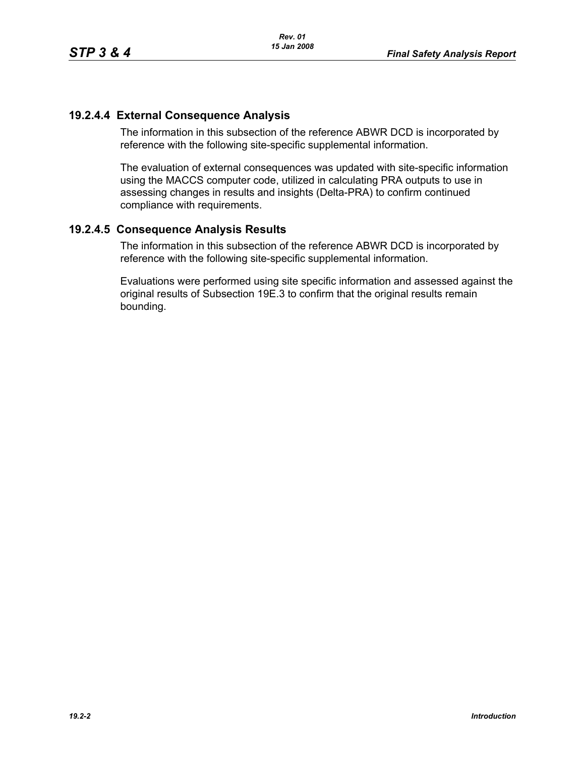# **19.2.4.4 External Consequence Analysis**

The information in this subsection of the reference ABWR DCD is incorporated by reference with the following site-specific supplemental information.

The evaluation of external consequences was updated with site-specific information using the MACCS computer code, utilized in calculating PRA outputs to use in assessing changes in results and insights (Delta-PRA) to confirm continued compliance with requirements.

## **19.2.4.5 Consequence Analysis Results**

The information in this subsection of the reference ABWR DCD is incorporated by reference with the following site-specific supplemental information.

Evaluations were performed using site specific information and assessed against the original results of Subsection 19E.3 to confirm that the original results remain bounding.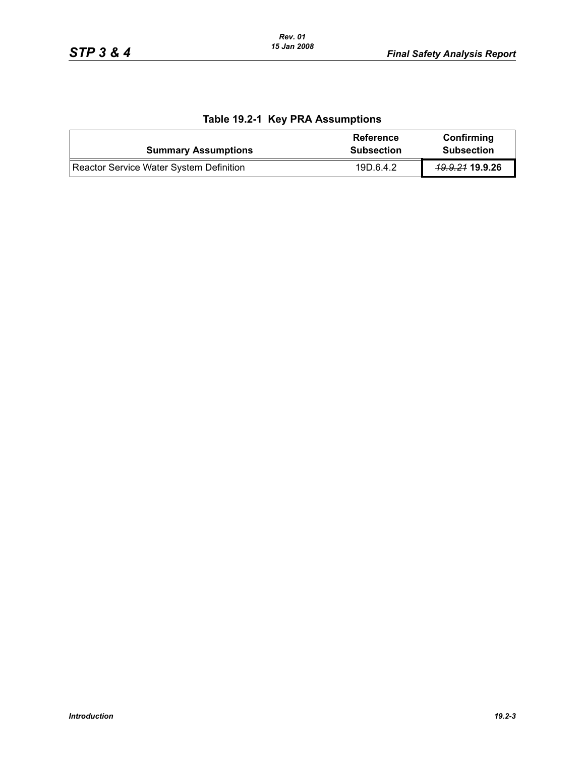| <b>Summary Assumptions</b>              | Reference<br><b>Subsection</b> | Confirming<br><b>Subsection</b> |
|-----------------------------------------|--------------------------------|---------------------------------|
| Reactor Service Water System Definition | 19D.6.4.2                      | <del>19.9.21</del> 19.9.26      |

# **Table 19.2-1 Key PRA Assumptions**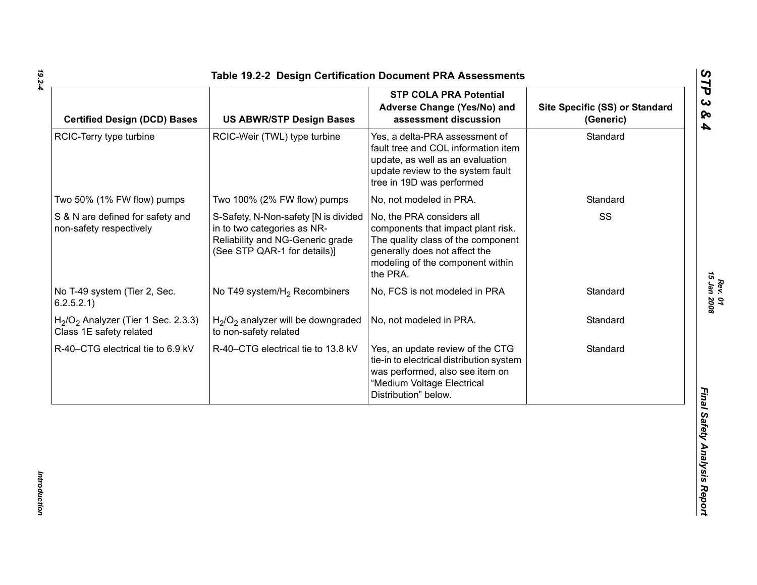| <b>Certified Design (DCD) Bases</b>                             | <b>US ABWR/STP Design Bases</b>                                                                                                         | <b>STP COLA PRA Potential</b><br>Adverse Change (Yes/No) and<br>assessment discussion                                                                                                  | Site Specific (SS) or Standard<br>(Generic) |
|-----------------------------------------------------------------|-----------------------------------------------------------------------------------------------------------------------------------------|----------------------------------------------------------------------------------------------------------------------------------------------------------------------------------------|---------------------------------------------|
| RCIC-Terry type turbine                                         | RCIC-Weir (TWL) type turbine                                                                                                            | Yes, a delta-PRA assessment of<br>fault tree and COL information item<br>update, as well as an evaluation<br>update review to the system fault<br>tree in 19D was performed            | Standard                                    |
| Two 50% (1% FW flow) pumps                                      | Two 100% (2% FW flow) pumps                                                                                                             | No, not modeled in PRA.                                                                                                                                                                | Standard                                    |
| S & N are defined for safety and<br>non-safety respectively     | S-Safety, N-Non-safety [N is divided<br>in to two categories as NR-<br>Reliability and NG-Generic grade<br>(See STP QAR-1 for details)] | No, the PRA considers all<br>components that impact plant risk.<br>The quality class of the component<br>generally does not affect the<br>modeling of the component within<br>the PRA. | SS                                          |
| No T-49 system (Tier 2, Sec.<br>6.2.5.2.1)                      | No T49 system/H <sub>2</sub> Recombiners                                                                                                | No, FCS is not modeled in PRA                                                                                                                                                          | Standard                                    |
| $H2/O2$ Analyzer (Tier 1 Sec. 2.3.3)<br>Class 1E safety related | H <sub>2</sub> /O <sub>2</sub> analyzer will be downgraded<br>to non-safety related                                                     | No, not modeled in PRA.                                                                                                                                                                | Standard                                    |
| R-40-CTG electrical tie to 6.9 kV                               | R-40-CTG electrical tie to 13.8 kV                                                                                                      | Yes, an update review of the CTG<br>tie-in to electrical distribution system<br>was performed, also see item on<br>"Medium Voltage Electrical<br>Distribution" below.                  | Standard                                    |

*Introduction* 

Introduction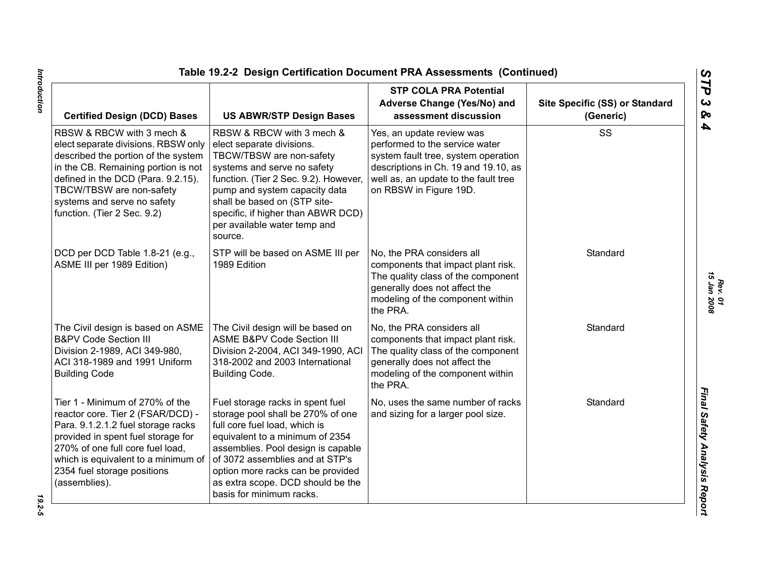| <b>Certified Design (DCD) Bases</b>                                                                                                                                                                                                                                            | <b>US ABWR/STP Design Bases</b>                                                                                                                                                                                                                                                                                          | <b>STP COLA PRA Potential</b><br>Adverse Change (Yes/No) and<br>assessment discussion                                                                                                                        | Site Specific (SS) or Standard<br>(Generic) |
|--------------------------------------------------------------------------------------------------------------------------------------------------------------------------------------------------------------------------------------------------------------------------------|--------------------------------------------------------------------------------------------------------------------------------------------------------------------------------------------------------------------------------------------------------------------------------------------------------------------------|--------------------------------------------------------------------------------------------------------------------------------------------------------------------------------------------------------------|---------------------------------------------|
| RBSW & RBCW with 3 mech &<br>elect separate divisions. RBSW only<br>described the portion of the system<br>in the CB. Remaining portion is not<br>defined in the DCD (Para. 9.2.15).<br>TBCW/TBSW are non-safety<br>systems and serve no safety<br>function. (Tier 2 Sec. 9.2) | RBSW & RBCW with 3 mech &<br>elect separate divisions.<br>TBCW/TBSW are non-safety<br>systems and serve no safety<br>function. (Tier 2 Sec. 9.2). However,<br>pump and system capacity data<br>shall be based on (STP site-<br>specific, if higher than ABWR DCD)<br>per available water temp and<br>source.             | Yes, an update review was<br>performed to the service water<br>system fault tree, system operation<br>descriptions in Ch. 19 and 19.10, as<br>well as, an update to the fault tree<br>on RBSW in Figure 19D. | SS                                          |
| DCD per DCD Table 1.8-21 (e.g.,<br>ASME III per 1989 Edition)                                                                                                                                                                                                                  | STP will be based on ASME III per<br>1989 Edition                                                                                                                                                                                                                                                                        | No, the PRA considers all<br>components that impact plant risk.<br>The quality class of the component<br>generally does not affect the<br>modeling of the component within<br>the PRA.                       | Standard                                    |
| The Civil design is based on ASME<br><b>B&amp;PV Code Section III</b><br>Division 2-1989, ACI 349-980,<br>ACI 318-1989 and 1991 Uniform<br><b>Building Code</b>                                                                                                                | The Civil design will be based on<br><b>ASME B&amp;PV Code Section III</b><br>Division 2-2004, ACI 349-1990, ACI<br>318-2002 and 2003 International<br><b>Building Code.</b>                                                                                                                                             | No, the PRA considers all<br>components that impact plant risk.<br>The quality class of the component<br>generally does not affect the<br>modeling of the component within<br>the PRA.                       | Standard                                    |
| Tier 1 - Minimum of 270% of the<br>reactor core. Tier 2 (FSAR/DCD) -<br>Para. 9.1.2.1.2 fuel storage racks<br>provided in spent fuel storage for<br>270% of one full core fuel load,<br>which is equivalent to a minimum of<br>2354 fuel storage positions<br>(assemblies).    | Fuel storage racks in spent fuel<br>storage pool shall be 270% of one<br>full core fuel load, which is<br>equivalent to a minimum of 2354<br>assemblies. Pool design is capable<br>of 3072 assemblies and at STP's<br>option more racks can be provided<br>as extra scope. DCD should be the<br>basis for minimum racks. | No, uses the same number of racks<br>and sizing for a larger pool size.                                                                                                                                      | Standard                                    |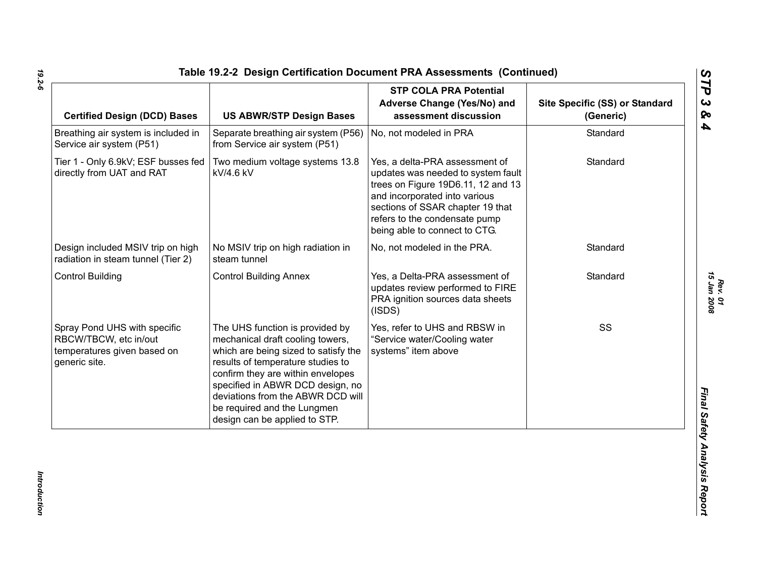| <b>Certified Design (DCD) Bases</b>                                                                   | <b>US ABWR/STP Design Bases</b>                                                                                                                                                                                                                                                                                                | <b>STP COLA PRA Potential</b><br>Adverse Change (Yes/No) and<br>assessment discussion                                                                                                                                                             | Site Specific (SS) or Standard<br>(Generic) |
|-------------------------------------------------------------------------------------------------------|--------------------------------------------------------------------------------------------------------------------------------------------------------------------------------------------------------------------------------------------------------------------------------------------------------------------------------|---------------------------------------------------------------------------------------------------------------------------------------------------------------------------------------------------------------------------------------------------|---------------------------------------------|
| Breathing air system is included in<br>Service air system (P51)                                       | Separate breathing air system (P56)<br>from Service air system (P51)                                                                                                                                                                                                                                                           | No, not modeled in PRA                                                                                                                                                                                                                            | Standard                                    |
| Tier 1 - Only 6.9kV; ESF busses fed<br>directly from UAT and RAT                                      | Two medium voltage systems 13.8<br>kV/4.6 kV                                                                                                                                                                                                                                                                                   | Yes, a delta-PRA assessment of<br>updates was needed to system fault<br>trees on Figure 19D6.11, 12 and 13<br>and incorporated into various<br>sections of SSAR chapter 19 that<br>refers to the condensate pump<br>being able to connect to CTG. | Standard                                    |
| Design included MSIV trip on high<br>radiation in steam tunnel (Tier 2)                               | No MSIV trip on high radiation in<br>steam tunnel                                                                                                                                                                                                                                                                              | No, not modeled in the PRA.                                                                                                                                                                                                                       | Standard                                    |
| <b>Control Building</b>                                                                               | <b>Control Building Annex</b>                                                                                                                                                                                                                                                                                                  | Yes, a Delta-PRA assessment of<br>updates review performed to FIRE<br>PRA ignition sources data sheets<br>(ISDS)                                                                                                                                  | Standard                                    |
| Spray Pond UHS with specific<br>RBCW/TBCW, etc in/out<br>temperatures given based on<br>generic site. | The UHS function is provided by<br>mechanical draft cooling towers,<br>which are being sized to satisfy the<br>results of temperature studies to<br>confirm they are within envelopes<br>specified in ABWR DCD design, no<br>deviations from the ABWR DCD will<br>be required and the Lungmen<br>design can be applied to STP. | Yes, refer to UHS and RBSW in<br>"Service water/Cooling water<br>systems" item above                                                                                                                                                              | SS                                          |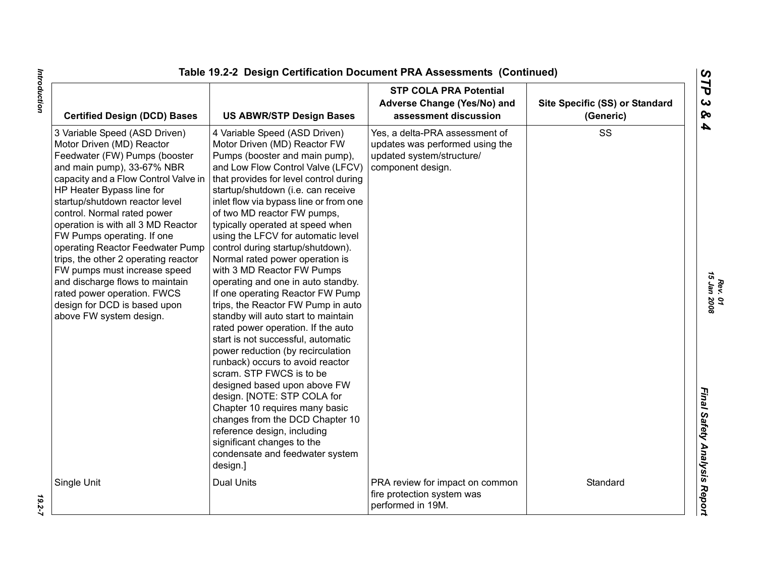| <b>Certified Design (DCD) Bases</b>                                                                                                                                                                                                                                                                                                                                                                                                                                                                                                                                          | <b>US ABWR/STP Design Bases</b>                                                                                                                                                                                                                                                                                                                                                                                                                                                                                                                                                                                                                                                                                                                                                                                                                                                                                                                                                                                                                                       | <b>STP COLA PRA Potential</b><br>Adverse Change (Yes/No) and<br>assessment discussion                               | Site Specific (SS) or Standard<br>(Generic) |
|------------------------------------------------------------------------------------------------------------------------------------------------------------------------------------------------------------------------------------------------------------------------------------------------------------------------------------------------------------------------------------------------------------------------------------------------------------------------------------------------------------------------------------------------------------------------------|-----------------------------------------------------------------------------------------------------------------------------------------------------------------------------------------------------------------------------------------------------------------------------------------------------------------------------------------------------------------------------------------------------------------------------------------------------------------------------------------------------------------------------------------------------------------------------------------------------------------------------------------------------------------------------------------------------------------------------------------------------------------------------------------------------------------------------------------------------------------------------------------------------------------------------------------------------------------------------------------------------------------------------------------------------------------------|---------------------------------------------------------------------------------------------------------------------|---------------------------------------------|
| 3 Variable Speed (ASD Driven)<br>Motor Driven (MD) Reactor<br>Feedwater (FW) Pumps (booster<br>and main pump), 33-67% NBR<br>capacity and a Flow Control Valve in<br>HP Heater Bypass line for<br>startup/shutdown reactor level<br>control. Normal rated power<br>operation is with all 3 MD Reactor<br>FW Pumps operating. If one<br>operating Reactor Feedwater Pump<br>trips, the other 2 operating reactor<br>FW pumps must increase speed<br>and discharge flows to maintain<br>rated power operation. FWCS<br>design for DCD is based upon<br>above FW system design. | 4 Variable Speed (ASD Driven)<br>Motor Driven (MD) Reactor FW<br>Pumps (booster and main pump),<br>and Low Flow Control Valve (LFCV)<br>that provides for level control during<br>startup/shutdown (i.e. can receive<br>inlet flow via bypass line or from one<br>of two MD reactor FW pumps,<br>typically operated at speed when<br>using the LFCV for automatic level<br>control during startup/shutdown).<br>Normal rated power operation is<br>with 3 MD Reactor FW Pumps<br>operating and one in auto standby.<br>If one operating Reactor FW Pump<br>trips, the Reactor FW Pump in auto<br>standby will auto start to maintain<br>rated power operation. If the auto<br>start is not successful, automatic<br>power reduction (by recirculation<br>runback) occurs to avoid reactor<br>scram. STP FWCS is to be<br>designed based upon above FW<br>design. [NOTE: STP COLA for<br>Chapter 10 requires many basic<br>changes from the DCD Chapter 10<br>reference design, including<br>significant changes to the<br>condensate and feedwater system<br>design.] | Yes, a delta-PRA assessment of<br>updates was performed using the<br>updated system/structure/<br>component design. | SS                                          |
| Single Unit                                                                                                                                                                                                                                                                                                                                                                                                                                                                                                                                                                  | <b>Dual Units</b>                                                                                                                                                                                                                                                                                                                                                                                                                                                                                                                                                                                                                                                                                                                                                                                                                                                                                                                                                                                                                                                     | PRA review for impact on common<br>fire protection system was<br>performed in 19M.                                  | Standard                                    |

 $19.2 - 7$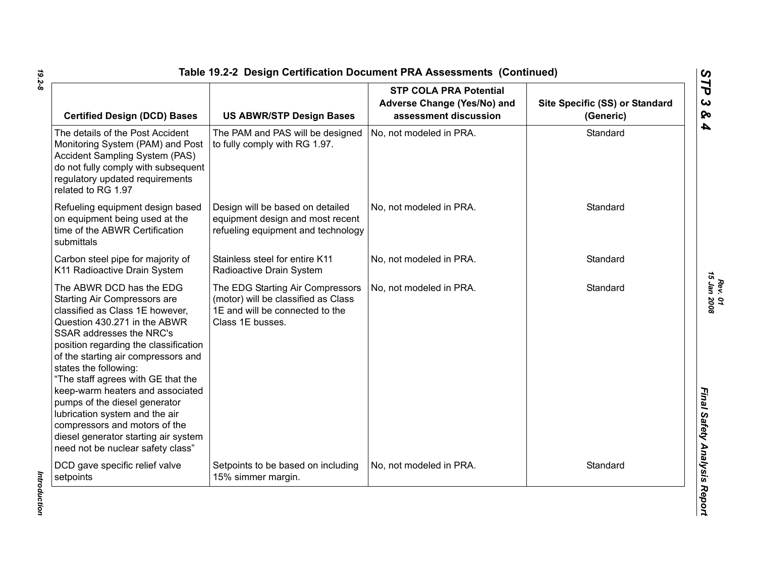| <b>Certified Design (DCD) Bases</b>                                                                                                                                                                                                                                                                                                                                                                                                                                                                                         | <b>US ABWR/STP Design Bases</b>                                                                                                | <b>STP COLA PRA Potential</b><br>Adverse Change (Yes/No) and<br>assessment discussion | Site Specific (SS) or Standard<br>(Generic) |
|-----------------------------------------------------------------------------------------------------------------------------------------------------------------------------------------------------------------------------------------------------------------------------------------------------------------------------------------------------------------------------------------------------------------------------------------------------------------------------------------------------------------------------|--------------------------------------------------------------------------------------------------------------------------------|---------------------------------------------------------------------------------------|---------------------------------------------|
| The details of the Post Accident<br>Monitoring System (PAM) and Post<br><b>Accident Sampling System (PAS)</b><br>do not fully comply with subsequent<br>regulatory updated requirements<br>related to RG 1.97                                                                                                                                                                                                                                                                                                               | The PAM and PAS will be designed<br>to fully comply with RG 1.97.                                                              | No, not modeled in PRA.                                                               | Standard                                    |
| Refueling equipment design based<br>on equipment being used at the<br>time of the ABWR Certification<br>submittals                                                                                                                                                                                                                                                                                                                                                                                                          | Design will be based on detailed<br>equipment design and most recent<br>refueling equipment and technology                     | No, not modeled in PRA.                                                               | Standard                                    |
| Carbon steel pipe for majority of<br>K11 Radioactive Drain System                                                                                                                                                                                                                                                                                                                                                                                                                                                           | Stainless steel for entire K11<br>Radioactive Drain System                                                                     | No, not modeled in PRA.                                                               | Standard                                    |
| The ABWR DCD has the EDG<br>Starting Air Compressors are<br>classified as Class 1E however,<br>Question 430.271 in the ABWR<br>SSAR addresses the NRC's<br>position regarding the classification<br>of the starting air compressors and<br>states the following:<br>"The staff agrees with GE that the<br>keep-warm heaters and associated<br>pumps of the diesel generator<br>lubrication system and the air<br>compressors and motors of the<br>diesel generator starting air system<br>need not be nuclear safety class" | The EDG Starting Air Compressors<br>(motor) will be classified as Class<br>1E and will be connected to the<br>Class 1E busses. | No, not modeled in PRA.                                                               | Standard                                    |
| DCD gave specific relief valve<br>setpoints                                                                                                                                                                                                                                                                                                                                                                                                                                                                                 | Setpoints to be based on including<br>15% simmer margin.                                                                       | No, not modeled in PRA.                                                               | Standard                                    |

Introduction *Introduction*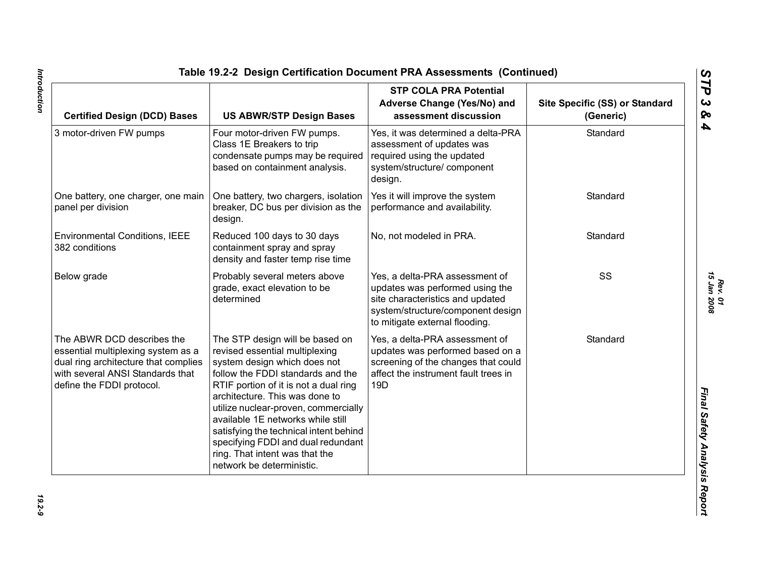| <b>Certified Design (DCD) Bases</b>                                                                                                                                       | <b>US ABWR/STP Design Bases</b>                                                                                                                                                                                                                                                                                                                                                                                                               | <b>STP COLA PRA Potential</b><br>Adverse Change (Yes/No) and<br>assessment discussion                                                                                        | Site Specific (SS) or Standard<br>(Generic) |
|---------------------------------------------------------------------------------------------------------------------------------------------------------------------------|-----------------------------------------------------------------------------------------------------------------------------------------------------------------------------------------------------------------------------------------------------------------------------------------------------------------------------------------------------------------------------------------------------------------------------------------------|------------------------------------------------------------------------------------------------------------------------------------------------------------------------------|---------------------------------------------|
| 3 motor-driven FW pumps                                                                                                                                                   | Four motor-driven FW pumps.<br>Class 1E Breakers to trip<br>condensate pumps may be required<br>based on containment analysis.                                                                                                                                                                                                                                                                                                                | Yes, it was determined a delta-PRA<br>assessment of updates was<br>required using the updated<br>system/structure/component<br>design.                                       | Standard                                    |
| One battery, one charger, one main<br>panel per division                                                                                                                  | One battery, two chargers, isolation<br>breaker, DC bus per division as the<br>design.                                                                                                                                                                                                                                                                                                                                                        | Yes it will improve the system<br>performance and availability.                                                                                                              | Standard                                    |
| <b>Environmental Conditions, IEEE</b><br>382 conditions                                                                                                                   | Reduced 100 days to 30 days<br>containment spray and spray<br>density and faster temp rise time                                                                                                                                                                                                                                                                                                                                               | No, not modeled in PRA.                                                                                                                                                      | Standard                                    |
| Below grade                                                                                                                                                               | Probably several meters above<br>grade, exact elevation to be<br>determined                                                                                                                                                                                                                                                                                                                                                                   | Yes, a delta-PRA assessment of<br>updates was performed using the<br>site characteristics and updated<br>system/structure/component design<br>to mitigate external flooding. | SS                                          |
| The ABWR DCD describes the<br>essential multiplexing system as a<br>dual ring architecture that complies<br>with several ANSI Standards that<br>define the FDDI protocol. | The STP design will be based on<br>revised essential multiplexing<br>system design which does not<br>follow the FDDI standards and the<br>RTIF portion of it is not a dual ring<br>architecture. This was done to<br>utilize nuclear-proven, commercially<br>available 1E networks while still<br>satisfying the technical intent behind<br>specifying FDDI and dual redundant<br>ring. That intent was that the<br>network be deterministic. | Yes, a delta-PRA assessment of<br>updates was performed based on a<br>screening of the changes that could<br>affect the instrument fault trees in<br>19 <sub>D</sub>         | Standard                                    |

19.2-9